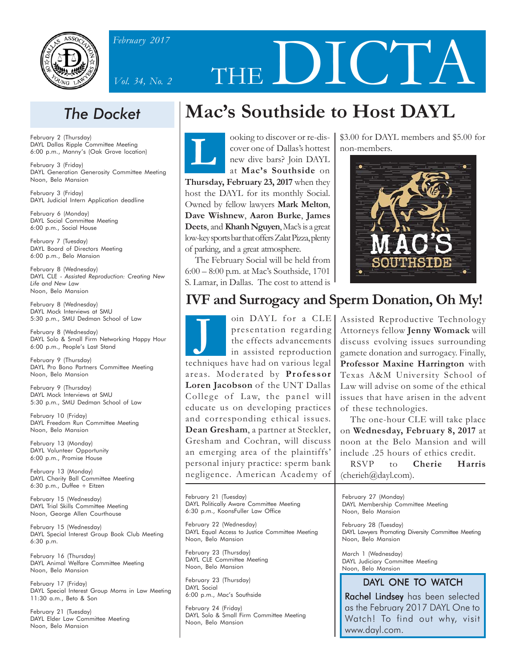

*February 2017*



# **Mac's Southside to Host DAYL**

THE DICT

**L** ooking to discover or re-discover one of Dallas's hottest new dive bars? Join DAYL at **Mac's Southside** on **Thursday, February 23, 2017** when they host the DAYL for its monthly Social. Owned by fellow lawyers **Mark Melton**, **Dave Wishnew**, **Aaron Burke**, **James Deets**, and **Khanh Nguyen**, Mac's is a great low-key sports bar that offers Zalat Pizza, plenty of parking, and a great atmosphere.

The February Social will be held from 6:00 – 8:00 p.m. at Mac's Southside, 1701 S. Lamar, in Dallas. The cost to attend is \$3.00 for DAYL members and \$5.00 for non-members.



## **IVF and Surrogacy and Sperm Donation, Oh My!**

**J** presentation regarding the effects advancements in assisted reproduction techniques have had on various legal areas. Moderated by **Professor Loren Jacobson** of the UNT Dallas College of Law, the panel will educate us on developing practices and corresponding ethical issues. **Dean Gresham**, a partner at Steckler, Gresham and Cochran, will discuss an emerging area of the plaintiffs' personal injury practice: sperm bank negligence. American Academy of

oin DAYL for a CLE Assisted Reproductive Technology Attorneys fellow **Jenny Womack** will discuss evolving issues surrounding gamete donation and surrogacy. Finally, **Professor Maxine Harrington** with Texas A&M University School of Law will advise on some of the ethical issues that have arisen in the advent of these technologies.

> The one-hour CLE will take place on **Wednesday, February 8, 2017** at noon at the Belo Mansion and will include .25 hours of ethics credit.

> RSVP to **Cherie Harris** (cherieh@dayl.com).

February 27 (Monday) DAYL Membership Committee Meeting Noon, Belo Mansion

February 28 (Tuesday) DAYL Lawyers Promoting Diversity Committee Meeting Noon, Belo Mansion

March 1 (Wednesday) DAYL Judiciary Committee Meeting Noon, Belo Mansion

## DAYL ONE TO WATCH

In a precise and support of the Support of the Support of the Support of Technics of Technics of Technics of Technics of Technics of Technics of Technics of Technics of Technics of Technics of Technics of Technics of Techn & Small Firm Committee Meeting **The Property of Small Firm Committee Meeting The Property Order of Small** Watch! To find out why, visit Rachel Lindsey has been selected www.dayl.com.

## *The Docket*

February 2 (Thursday) DAYL Dallas Ripple Committee Meeting 6:00 p.m., Manny's (Oak Grove location)

February 3 (Friday) DAYL Generation Generosity Committee Meeting Noon, Belo Mansion

February 3 (Friday) DAYL Judicial Intern Application deadline

February 6 (Monday) DAYL Social Committee Meeting 6:00 p.m., Social House

February 7 (Tuesday) DAYL Board of Directors Meeting 6:00 p.m., Belo Mansion

February 8 (Wednesday) DAYL CLE - *Assisted Reproduction: Creating New Life and New Law* Noon, Belo Mansion

February 8 (Wednesday) DAYL Mock Interviews at SMU 5:30 p.m., SMU Dedman School of Law

February 8 (Wednesday) DAYL Solo & Small Firm Networking Happy Hour 6:00 p.m., People's Last Stand

February 9 (Thursday) DAYL Pro Bono Partners Committee Meeting Noon, Belo Mansion

February 9 (Thursday) DAYL Mock Interviews at SMU 5:30 p.m., SMU Dedman School of Law

February 10 (Friday) DAYL Freedom Run Committee Meeting Noon, Belo Mansion

February 13 (Monday) DAYL Volunteer Opportunity 6:00 p.m., Promise House

February 13 (Monday) DAYL Charity Ball Committee Meeting 6:30 p.m., Duffee + Eitzen

February 15 (Wednesday) DAYL Trial Skills Committee Meeting Noon, George Allen Courthouse

February 15 (Wednesday) DAYL Special Interest Group Book Club Meeting 6:30 p.m.

February 16 (Thursday) DAYL Animal Welfare Committee Meeting Noon, Belo Mansion

February 17 (Friday) DAYL Special Interest Group Moms in Law Meeting 11:30 a.m., Beto & Son

February 21 (Tuesday) DAYL Elder Law Committee Meeting Noon, Belo Mansion

February 21 (Tuesday) DAYL Politically Aware Committee Meeting

6:30 p.m., KoonsFuller Law Office

February 22 (Wednesday) DAYL Equal Access to Justice Committee Meeting Noon, Belo Mansion

February 23 (Thursday) DAYL CLE Committee Meeting Noon, Belo Mansion

February 23 (Thursday) DAYL Social 6:00 p.m., Mac's Southside

February 24 (Friday) DAYL Solo & Small Firm Committee Meeting Noon, Belo Mansion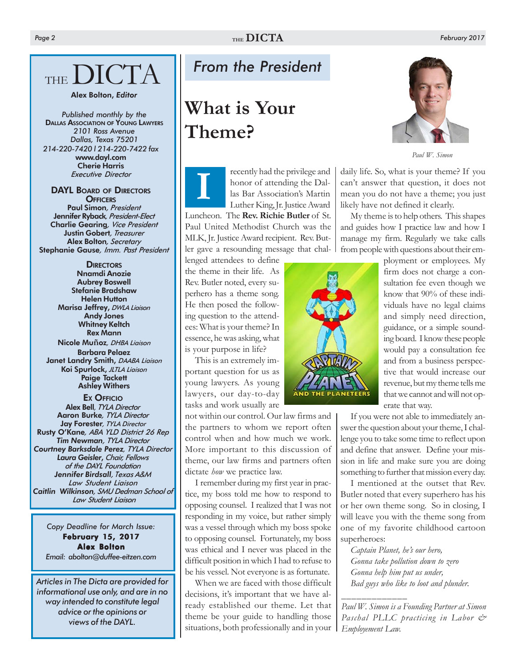# THE DICTA

### Alex Bolton, *Editor*

*214-220-7420 l 214-220-7422 fax* www.dayl.com Cherie Harris *Executive Director Published monthly by the* **DALLAS ASSOCIATION OF YOUNG LAWYERS** *2101 Ross Avenue Dallas, Texas 75201*

## **DAYL BOARD OF DIRECTORS** Tutive Director<br> **DARD OF DIRECTORS**<br> **OFFICERS**<br>
Simon *President*

Paul Simon*, President* Jennifer Ryback*, President-Elect* Charlie Gearing*, Vice President* Justin Gobert*, Treasurer* Alex Bolton*, Secretary* Stephanie Gause*, Imm. Past President*

> **DIRECTORS** Nnamdi Anozie Aubrey Boswell Stefanie Bradshaw Helen Hutton Marisa Jeffrey, *DWLA Liaison* Andy Jones Whitney Keltch Rex Mann

Nicole Mu**ñ**oz*, DHBA Liaison* Barbara Pelaez Janet Landry Smith, *DAABA Liaison* Koi Spurlock, *JLTLA Liaison* Paige Tackett Ashley Withers

EX OFFICIO Alex Bell*, TYLA Director* Aaron Burke*, TYLA Director* Jay Forester*, TYLA Director* Rusty O'Kane*, ABA YLD District 26 Rep Tim Newman, TYLA Director Courtney Barksdale Perez, TYLA Director Laura Geisler*, *Chair, Fellows of the DAYL Foundation Jennifer Birdsall, Texas A&M Law Student Liaison Caitlin Wilkinson, SMU Dedman School of Law Student Liaison*

*Copy Deadline for March Issue:* February 15, 2017 Alex Bolton *Email: abolton@duffee-eitzen.com*

*Articles in The Dicta are provided for informational use only, and are in no way intended to constitute legal advice or the opinions or views of the DAYL.*

## *From the President*

## **What is Your Theme?**

recently had the privilege and honor of attending the Dallas Bar Association's Martin Luther King, Jr. Justice Award Luncheon. The **Rev. Richie Butler** of St. Paul United Methodist Church was the MLK, Jr. Justice Award recipient. Rev. Butler gave a resounding message that chal-

lenged attendees to define the theme in their life. As Rev. Butler noted, every superhero has a theme song. He then posed the following question to the attendees: What is your theme? In essence, he was asking, what is your purpose in life?

This is an extremely important question for us as young lawyers. As young lawyers, our day-to-day tasks and work usually are

not within our control. Our law firms and the partners to whom we report often control when and how much we work. More important to this discussion of theme, our law firms and partners often dictate *how* we practice law.

I remember during my first year in practice, my boss told me how to respond to opposing counsel. I realized that I was not responding in my voice, but rather simply was a vessel through which my boss spoke to opposing counsel. Fortunately, my boss was ethical and I never was placed in the difficult position in which I had to refuse to be his vessel. Not everyone is as fortunate.

When we are faced with those difficult decisions, it's important that we have already established our theme. Let that theme be your guide to handling those situations, both professionally and in your





*Paul W. Simon*

daily life. So, what is your theme? If you can't answer that question, it does not mean you do not have a theme; you just likely have not defined it clearly.

My theme is to help others. This shapes and guides how I practice law and how I manage my firm. Regularly we take calls from people with questions about their em-

> ployment or employees. My firm does not charge a consultation fee even though we know that 90% of these individuals have no legal claims and simply need direction, guidance, or a simple sounding board. I know these people would pay a consultation fee and from a business perspective that would increase our revenue, but my theme tells me that we cannot and will not operate that way.

If you were not able to immediately answer the question about your theme, I challenge you to take some time to reflect upon and define that answer. Define your mission in life and make sure you are doing something to further that mission every day.

I mentioned at the outset that Rev. Butler noted that every superhero has his or her own theme song. So in closing, I will leave you with the theme song from one of my favorite childhood cartoon superheroes:

*Captain Planet, he's our hero, Gonna take pollution down to zero Gonna help him put us under, Bad guys who like to loot and plunder.*

*\_\_\_\_\_\_\_\_\_\_\_\_\_*

*Paul W. Simon is a Founding Partner at Simon Paschal PLLC practicing in Labor & Employement Law.*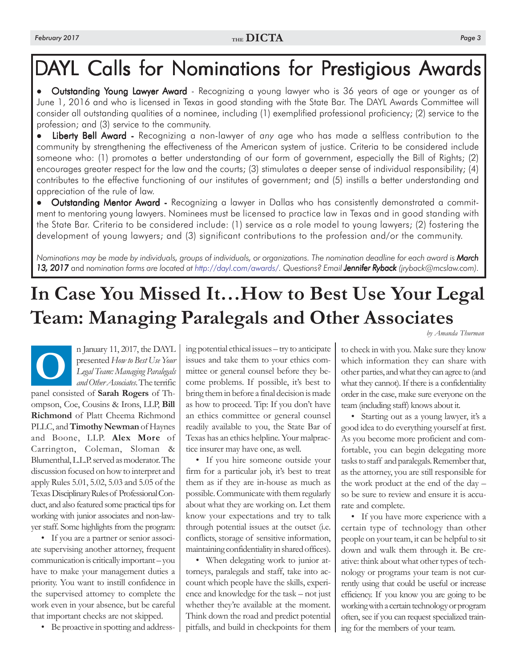## DAYL Calls for Nominations for Prestigious Awards

• Outstanding Young Lawyer Award - Recognizing a young lawyer who is 36 years of age or younger as of June 1, 2016 and who is licensed in Texas in good standing with the State Bar. The DAYL Awards Committee will consider all outstanding qualities of a nominee, including (1) exemplified professional proficiency; (2) service to the profession; and (3) service to the community.

Liberty Bell Award - Recognizing a non-lawyer of any age who has made a selfless contribution to the community by strengthening the effectiveness of the American system of justice. Criteria to be considered include someone who: (1) promotes a better understanding of our form of government, especially the Bill of Rights; (2) encourages greater respect for the law and the courts; (3) stimulates a deeper sense of individual responsibility; (4) contributes to the effective functioning of our institutes of government; and (5) instills a better understanding and appreciation of the rule of law.

 Outstanding Mentor Award - Recognizing a lawyer in Dallas who has consistently demonstrated a commit ment to mentoring young lawyers. Nominees must be licensed to practice law in Texas and in good standing with the State Bar. Criteria to be considered include: (1) service as a role model to young lawyers; (2) fostering the development of young lawyers; and (3) significant contributions to the profession and/or the community.

*Nominations may be made by individuals, groups of individuals, or organizations. The nomination deadline for each award is March* 13, 2017 and nomination forms are located at http://dayl.com/awards/. Questions? Email **Jennifer Ryback** (jryback@mcslaw.com).

# **In Case You Missed It…How to Best Use Your Legal Team: Managing Paralegals and Other Associates**

*by Amanda Thurman*

n January 11, 2017, the DAYL<br>presented How to Best Use Your<br>Legal Team: Managing Paralegals<br>and Other Associates. The terrific presented *How to Best Use Your Legal Team: Managing Paralegals and Other Associates*. The terrific panel consisted of **Sarah Rogers** of Thompson, Coe, Cousins & Irons, LLP, **Bill Richmond** of Platt Cheema Richmond PLLC, and **Timothy Newman** of Haynes and Boone, LLP. **Alex More** of Carrington, Coleman, Sloman & Blumenthal, L.L.P. served as moderator. The discussion focused on how to interpret and apply Rules 5.01, 5.02, 5.03 and 5.05 of the Texas Disciplinary Rules of Professional Conduct, and also featured some practical tips for working with junior associates and non-lawyer staff. Some highlights from the program:

• If you are a partner or senior associate supervising another attorney, frequent communication is critically important – you have to make your management duties a priority. You want to instill confidence in the supervised attorney to complete the work even in your absence, but be careful that important checks are not skipped.

• Be proactive in spotting and address-

ing potential ethical issues – try to anticipate issues and take them to your ethics committee or general counsel before they become problems. If possible, it's best to bring them in before a final decision is made as how to proceed. Tip: If you don't have an ethics committee or general counsel readily available to you, the State Bar of Texas has an ethics helpline. Your malpractice insurer may have one, as well.

• If you hire someone outside your firm for a particular job, it's best to treat them as if they are in-house as much as possible. Communicate with them regularly about what they are working on. Let them know your expectations and try to talk through potential issues at the outset (i.e. conflicts, storage of sensitive information, maintaining confidentiality in shared offices).

• When delegating work to junior attorneys, paralegals and staff, take into account which people have the skills, experience and knowledge for the task – not just whether they're available at the moment. Think down the road and predict potential pitfalls, and build in checkpoints for them

to check in with you. Make sure they know which information they can share with other parties, and what they can agree to (and what they cannot). If there is a confidentiality order in the case, make sure everyone on the team (including staff) knows about it.

• Starting out as a young lawyer, it's a good idea to do everything yourself at first. As you become more proficient and comfortable, you can begin delegating more tasks to staff and paralegals. Remember that, as the attorney, you are still responsible for the work product at the end of the day – so be sure to review and ensure it is accurate and complete.

• If you have more experience with a certain type of technology than other people on your team, it can be helpful to sit down and walk them through it. Be creative: think about what other types of technology or programs your team is not currently using that could be useful or increase efficiency. If you know you are going to be working with a certain technology or program often, see if you can request specialized training for the members of your team.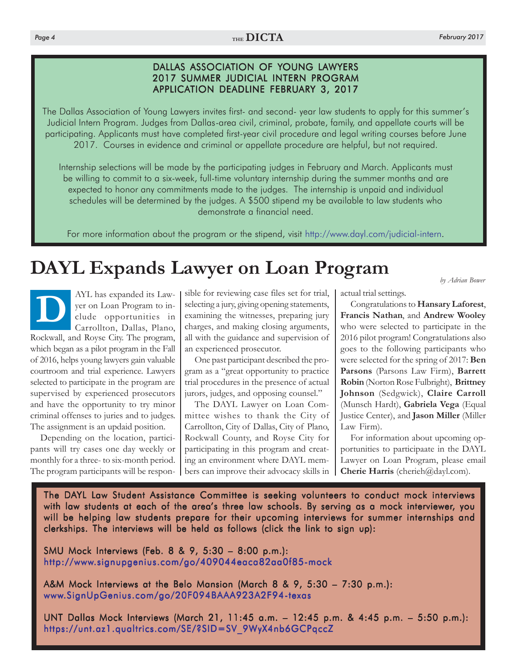## Page 4 **February 2017**  $A$

## DALLAS ASSOCIATION OF YOUNG LAWYERS 2017 SUMMER JUDICIAL INTERN PROGRAM APPLICATION DEADLINE FEBRUARY 3, 2017

The Dallas Association of Young Lawyers invites first- and second- year law students to apply for this summer's Judicial Intern Program. Judges from Dallas-area civil, criminal, probate, family, and appellate courts will be participating. Applicants must have completed first-year civil procedure and legal writing courses before June 2017. Courses in evidence and criminal or appellate procedure are helpful, but not required.

Internship selections will be made by the participating judges in February and March. Applicants must be willing to commit to a six-week, full-time voluntary internship during the summer months and are expected to honor any commitments made to the judges. The internship is unpaid and individual schedules will be determined by the judges. A \$500 stipend my be available to law students who demonstrate a financial need.

For more information about the program or the stipend, visit http://www.dayl.com/judicial-intern.

# **DAYL Expands Lawyer on Loan Program** *by Adrian Bower*

AYL has expanded its Law-<br>yer on Loan Program to in-<br>clude opportunities in<br>Carrollton, Dallas, Plano, yer on Loan Program to include opportunities in Carrollton, Dallas, Plano, Rockwall, and Royse City. The program, which began as a pilot program in the Fall of 2016, helps young lawyers gain valuable courtroom and trial experience. Lawyers selected to participate in the program are supervised by experienced prosecutors and have the opportunity to try minor criminal offenses to juries and to judges. The assignment is an updaid position.

Depending on the location, participants will try cases one day weekly or monthly for a three- to six-month period. The program participants will be respon-

sible for reviewing case files set for trial, selecting a jury, giving opening statements, examining the witnesses, preparing jury charges, and making closing arguments, all with the guidance and supervision of an experienced prosecutor.

One past participant described the program as a "great opportunity to practice trial procedures in the presence of actual jurors, judges, and opposing counsel."

The DAYL Lawyer on Loan Committee wishes to thank the City of Carrollton, City of Dallas, City of Plano, Rockwall County, and Royse City for participating in this program and creating an environment where DAYL members can improve their advocacy skills in actual trial settings.

Congratulations to **Hansary Laforest**, **Francis Nathan**, and **Andrew Wooley** who were selected to participate in the 2016 pilot program! Congratulations also goes to the following participants who were selected for the spring of 2017: **Ben Parsons** (Parsons Law Firm), **Barrett Robin** (Norton Rose Fulbright), **Brittney Johnson** (Sedgwick), **Claire Carroll** (Munsch Hardt), **Gabriela Vega** (Equal Justice Center), and **Jason Miller** (Miller Law Firm).

For information about upcoming opportunities to participaate in the DAYL Lawyer on Loan Program, please email Cherie Harris (cherieh@dayl.com).

The DAYL Law Student Assistance Committee is seeking volunteers to conduct mock interviews with law students at each of the area's three law schools. By serving as a mock interviewer, you will be helping law students prepare for their upcoming interviews for summer internships and clerkships. The interviews will be held as follows (click the link to sign up):

SMU Mock Interviews (Feb. 8 & 9, 5:30 – 8:00 p.m.): http://www.signupgenius.com/go/409044eaca82aa0f85-mock

A&M Mock Interviews at the Belo Mansion (March 8 & 9, 5:30 – 7:30 p.m.): www.SignUpGenius.com/go/20F094BAAA923A2F94-texas

UNT Dallas Mock Interviews (March 21, 11:45 a.m. – 12:45 p.m. & 4:45 p.m. – 5:50 p.m.): https://unt.az1.qualtrics.com/SE/?SID=SV\_9WyX4nb6GCPqccZ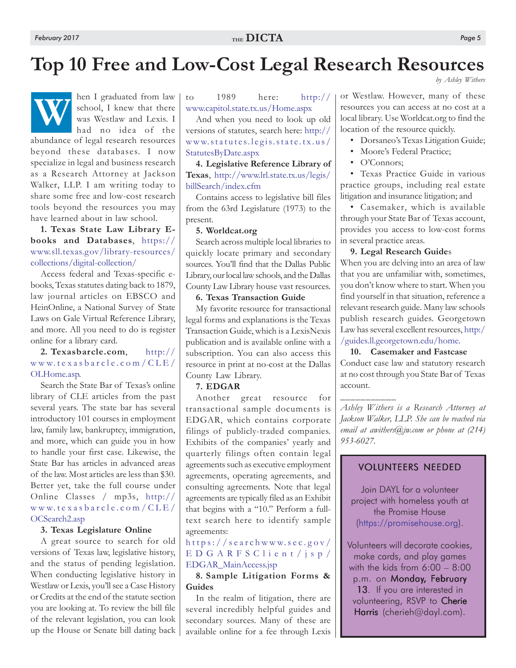**W**

## **Top 10 Free and Low-Cost Legal Research Resources**

*by Ashley Withers*

hen I graduated from law school, I knew that there was Westlaw and Lexis. I had no idea of the

abundance of legal research resources beyond these databases. I now specialize in legal and business research as a Research Attorney at Jackson Walker, LLP. I am writing today to share some free and low-cost research tools beyond the resources you may have learned about in law school.

**1. Texas State Law Library Ebooks and Databases**, https:// [www.sll.texas.gov/library-resources/](https://www.sll.texas.gov/library-resources/collections/digital-collection/) collections/digital-collection/

Access federal and Texas-specific ebooks, Texas statutes dating back to 1879, law journal articles on EBSCO and HeinOnline, a National Survey of State Laws on Gale Virtual Reference Library, and more. All you need to do is register online for a library card.

### **[2. Texasbarcle.com](http://www.texasbarcle.com/CLE/OLHome.asp)**, http:// www.te xasbar c l e .com/CLE/ OLHome.asp.

Search the State Bar of Texas's online library of CLE articles from the past several years. The state bar has several introductory 101 courses in employment law, family law, bankruptcy, immigration, and more, which can guide you in how to handle your first case. Likewise, the State Bar has articles in advanced areas of the law. Most articles are less than \$30. Better yet, take the full course under [Online Classes / mp3s, http://](http://www.texasbarcle.com/CLE/OCSearch2.asp) www.texasbarcle.com/CLE/ OCSearch2.asp

### **3. Texas Legislature Online**

A great source to search for old versions of Texas law, legislative history, and the status of pending legislation. When conducting legislative history in Westlaw or Lexis, you'll see a Case History or Credits at the end of the statute section you are looking at. To review the bill file of the relevant legislation, you can look up the House or Senate bill dating back [to 1989 here: http://](http://www.capitol.state.tx.us/Home.aspx) www.capitol.state.tx.us/Home.aspx

And when you need to look up old [versions of statutes, search here: http://](http://www.statutes.legis.state.tx.us/StatutesByDate.aspx) www.statutes.legis.state.tx.us/ StatutesByDate.aspx

**4. Legislative Reference Library of Texas**[, http://www.lrl.state.tx.us/legis/](http://www.lrl.state.tx.us/legis/billSearch/index.cfm) billSearch/index.cfm

Contains access to legislative bill files from the 63rd Legislature (1973) to the present.

### **5. Worldcat.org**

Search across multiple local libraries to quickly locate primary and secondary sources. You'll find that the Dallas Public Library, our local law schools, and the Dallas County Law Library house vast resources.

### **6. Texas Transaction Guide**

My favorite resource for transactional legal forms and explanations is the Texas Transaction Guide, which is a LexisNexis publication and is available online with a subscription. You can also access this resource in print at no-cost at the Dallas County Law Library.

### **7. EDGAR**

Another great resource for transactional sample documents is EDGAR, which contains corporate filings of publicly-traded companies. Exhibits of the companies' yearly and quarterly filings often contain legal agreements such as executive employment agreements, operating agreements, and consulting agreements. Note that legal agreements are typically filed as an Exhibit that begins with a "10." Perform a fulltext search here to identify sample agreements:

## https://searchwww.sec.gov/ [EDGARFSClient/jsp/](https://searchwww.sec.gov/EDGARFSClient/jsp/EDGAR_MainAccess.jsp) EDGAR\_MainAccess.jsp

## **8. Sample Litigation Forms & Guides**

In the realm of litigation, there are several incredibly helpful guides and secondary sources. Many of these are available online for a fee through Lexis

or Westlaw. However, many of these resources you can access at no cost at a local library. Use Worldcat.org to find the location of the resource quickly.

- Dorsaneo's Texas Litigation Guide;
- Moore's Federal Practice;
- O'Connors;

• Texas Practice Guide in various practice groups, including real estate litigation and insurance litigation; and

• Casemaker, which is available through your State Bar of Texas account, provides you access to low-cost forms in several practice areas.

### **9. Legal Research Guide**s

When you are delving into an area of law that you are unfamiliar with, sometimes, you don't know where to start. When you find yourself in that situation, reference a relevant research guide. Many law schools publish research guides. Georgetown [Law has several excellent resources, http:/](http://guides.ll.georgetown.edu/home) /guides.ll.georgetown.edu/home.

## **10. Casemaker and Fastcase**

Conduct case law and statutory research at no cost through you State Bar of Texas account.

\_\_\_\_\_\_\_\_\_\_\_

*Ashley Withers is a Research Attorney at Jackson Walker, LLP. She can be reached via email at awithers@jw.com or phone at (214) 953-6027.*

## VOLUNTEERS NEEDED

Join DAYL for a volunteer project with homeless youth at the Promise House (https://promisehouse.org).

Volunteers will decorate cookies, make cards, and play games with the kids from 6:00 – 8:00 p.m. on Monday, February 13. If you are interested in volunteering, RSVP to Cherie Harris (cherieh@dayl.com).